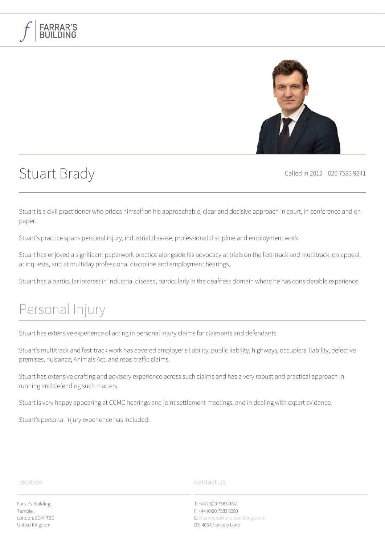

# Stuart Brady Called in 2012 020 7583 9241

**FARRAR'S** 

Stuart is a civil practitioner who prides himself on his approachable, clear and decisive approach in court, in conference and on paper.

Stuart's practice spans personal injury, industrial disease, professional discipline and employment work.

Stuart has enjoyed a significant paperwork practice alongside his advocacy at trials on the fast-track and multitrack, on appeal, at inquests, and at multiday professional discipline and employment hearings.

Stuart has a particular interest in industrial disease, particularly in the deafness domain where he has considerable experience.

## [Personal Injury](#page--1-0)

Stuart has extensive experience of acting in personal injury claims for claimants and defendants.

Stuart's multitrack and fast-track work has covered employer's liability, public liability, highways, occupiers' liability, defective premises, nuisance, Animals Act, and road traffic claims.

Stuart has extensive drafting and advisory experience across such claims and has a very robust and practical approach in running and defending such matters.

Stuart is very happy appearing at CCMC hearings and joint settlement meetings, and in dealing with expert evidence.

Stuart's personal injury experience has included:

#### Location

Farrar's Building, Temple, London, EC4Y 7BD United Kingdom

#### Contact Us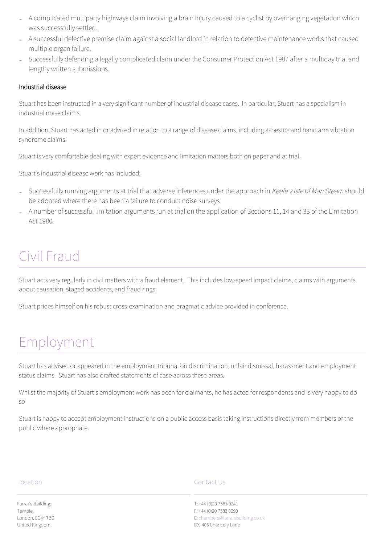- A complicated multiparty highways claim involving a brain injury caused to a cyclist by overhanging vegetation which was successfully settled.
- A successful defective premise claim against a social landlord in relation to defective maintenance works that caused multiple organ failure.
- Successfully defending a legally complicated claim under the Consumer Protection Act 1987 after a multiday trial and lengthy written submissions.

### Industrial disease

Stuart has been instructed in a very significant number of industrial disease cases. In particular, Stuart has a specialism in industrial noise claims.

In addition, Stuart has acted in or advised in relation to a range of disease claims, including asbestos and hand arm vibration syndrome claims.

Stuart is very comfortable dealing with expert evidence and limitation matters both on paper and at trial.

Stuart's industrial disease work has included:

- Successfully running arguments at trial that adverse inferences under the approach in Keefe v Isle of Man Steam should be adopted where there has been a failure to conduct noise surveys.
- A number of successful limitation arguments run at trial on the application of Sections 11, 14 and 33 of the Limitation Act 1980.

## [Civil Fraud](#page--1-0)

Stuart acts very regularly in civil matters with a fraud element. This includes low-speed impact claims, claims with arguments about causation, staged accidents, and fraud rings.

Stuart prides himself on his robust cross-examination and pragmatic advice provided in conference.

# [Employment](#page--1-0)

Stuart has advised or appeared in the employment tribunal on discrimination, unfair dismissal, harassment and employment status claims. Stuart has also drafted statements of case across these areas.

Whilst the majority of Stuart's employment work has been for claimants, he has acted for respondents and is very happy to do so.

Stuart is happy to accept employment instructions on a public access basis taking instructions directly from members of the public where appropriate.

#### Location

Farrar's Building, Temple, London, EC4Y 7BD United Kingdom

### Contact Us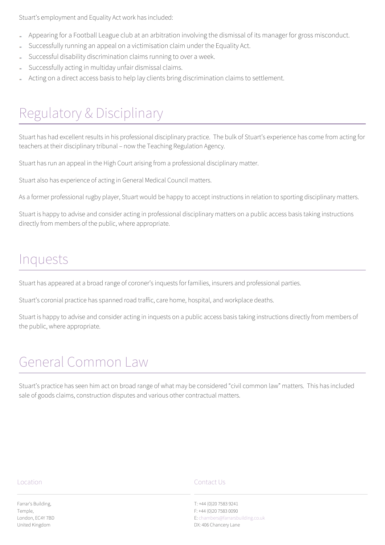Stuart's employment and Equality Act work has included:

- Appearing for a Football League club at an arbitration involving the dismissal of its manager for gross misconduct.
- Successfully running an appeal on a victimisation claim under the Equality Act.
- Successful disability discrimination claims running to over a week.
- Successfully acting in multiday unfair dismissal claims.
- Acting on a direct access basis to help lay clients bring discrimination claims to settlement.

# [Regulatory & Disciplinary](#page--1-0)

Stuart has had excellent results in his professional disciplinary practice. The bulk of Stuart's experience has come from acting for teachers at their disciplinary tribunal – now the Teaching Regulation Agency.

Stuart has run an appeal in the High Court arising from a professional disciplinary matter.

Stuart also has experience of acting in General Medical Council matters.

As a former professional rugby player, Stuart would be happy to accept instructions in relation to sporting disciplinary matters.

Stuart is happy to advise and consider acting in professional disciplinary matters on a public access basis taking instructions directly from members of the public, where appropriate.

## [Inquests](#page--1-0)

Stuart has appeared at a broad range of coroner's inquests for families, insurers and professional parties.

Stuart's coronial practice has spanned road traffic, care home, hospital, and workplace deaths.

Stuart is happy to advise and consider acting in inquests on a public access basis taking instructions directly from members of the public, where appropriate.

# [General Common Law](#page--1-0)

Stuart's practice has seen him act on broad range of what may be considered "civil common law" matters. This has included sale of goods claims, construction disputes and various other contractual matters.

#### Location

Farrar's Building, Temple, London, EC4Y 7BD United Kingdom

### Contact Us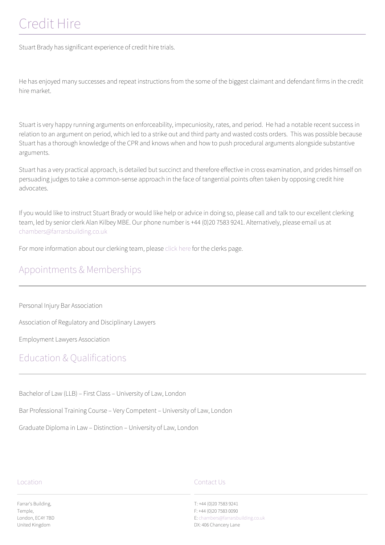# [Credit Hire](#page--1-0)

Stuart Brady has significant experience of credit hire trials.

He has enjoyed many successes and repeat instructions from the some of the biggest claimant and defendant firms in the credit hire market.

Stuart is very happy running arguments on enforceability, impecuniosity, rates, and period. He had a notable recent success in relation to an argument on period, which led to a strike out and third party and wasted costs orders. This was possible because Stuart has a thorough knowledge of the CPR and knows when and how to push procedural arguments alongside substantive arguments.

Stuart has a very practical approach, is detailed but succinct and therefore effective in cross examination, and prides himself on persuading judges to take a common-sense approach in the face of tangential points often taken by opposing credit hire advocates.

If you would like to instruct Stuart Brady or would like help or advice in doing so, please call and talk to our excellent clerking team, led by senior clerk Alan Kilbey MBE. Our phone number is +44 (0)20 7583 9241. Alternatively, please email us at [chambers@farrarsbuilding.co.uk](mailto:chambers@farrarsbuilding.co.uk)

For more information about our clerking team, please [click here](#page--1-0) for the clerks page.

### Appointments & Memberships

Personal Injury Bar Association

Association of Regulatory and Disciplinary Lawyers

Employment Lawyers Association

### Education & Qualifications

Bachelor of Law (LLB) – First Class – University of Law, London

Bar Professional Training Course – Very Competent – University of Law, London

Graduate Diploma in Law – Distinction – University of Law, London

#### Location

Contact Us

T: +44 (0)20 7583 9241 F: +44 (0)20 7583 0090 E: [chambers@farrarsbuilding.co.uk](https://www.farrarsbuilding.co.uk/wordpress/wp-admin/chambers@farrarsbuilding.co.uk) DX: 406 Chancery Lane

Farrar's Building, Temple, London, EC4Y 7BD United Kingdom